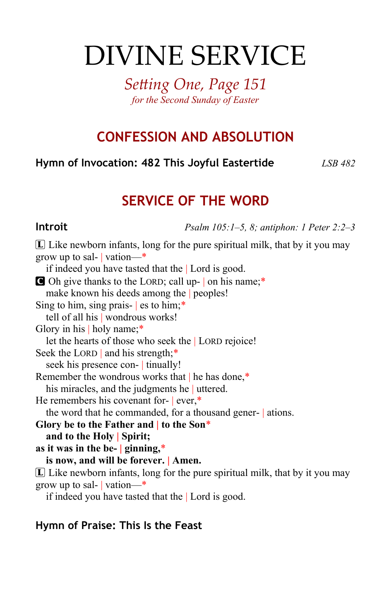# DIVINE SERVICE

*Setting One, Page 151 for the Second Sunday of Easter*

# **CONFESSION AND ABSOLUTION**

**Hymn of Invocation: 482 This Joyful Eastertide** *LSB 482*

# **SERVICE OF THE WORD**

**Introit** *Psalm 105:1–5, 8; antiphon: 1 Peter 2:2–3*

 $\mathbb{L}$  Like newborn infants, long for the pure spiritual milk, that by it you may grow up to sal- | vation—\* if indeed you have tasted that the | Lord is good. C Oh give thanks to the LORD; call up- | on his name;\* make known his deeds among the | peoples! Sing to him, sing prais-  $|$  es to him;\* tell of all his | wondrous works! Glory in his | holy name;\* let the hearts of those who seek the | LORD rejoice! Seek the LORD | and his strength;\* seek his presence con- | tinually! Remember the wondrous works that | he has done,\* his miracles, and the judgments he uttered. He remembers his covenant for- | ever,\* the word that he commanded, for a thousand gener- | ations. **Glory be to the Father and | to the Son**\* **and to the Holy | Spirit; as it was in the be- | ginning,**\* **is now, and will be forever. | Amen.**  $\mathbb L$  Like newborn infants, long for the pure spiritual milk, that by it you may grow up to sal- | vation—\* if indeed you have tasted that the | Lord is good.

#### **Hymn of Praise: This Is the Feast**